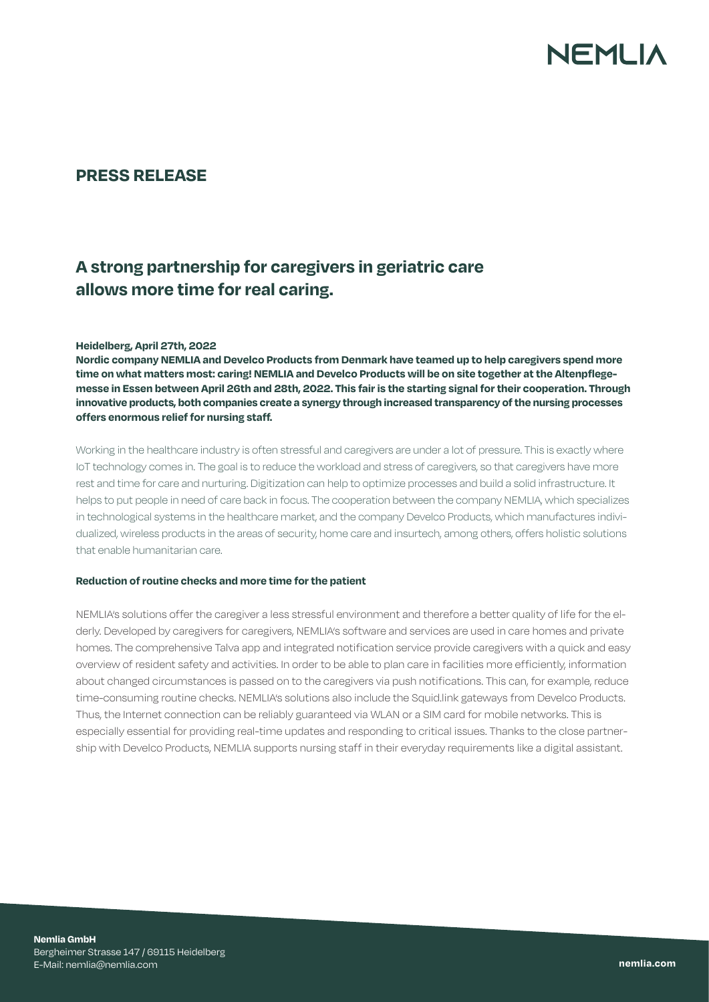

## **PRESS RELEASE**

## **A strong partnership for caregivers in geriatric care allows more time for real caring.**

## **Heidelberg, April 27th, 2022**

**Nordic company NEMLIA and Develco Products from Denmark have teamed up to help caregivers spend more time on what matters most: caring! NEMLIA and Develco Products will be on site together at the Altenpflegemesse in Essen between April 26th and 28th, 2022. This fair is the starting signal for their cooperation. Through innovative products, both companies create a synergy through increased transparency of the nursing processes offers enormous relief for nursing staff.**

Working in the healthcare industry is often stressful and caregivers are under a lot of pressure. This is exactly where IoT technology comes in. The goal is to reduce the workload and stress of caregivers, so that caregivers have more rest and time for care and nurturing. Digitization can help to optimize processes and build a solid infrastructure. It helps to put people in need of care back in focus. The cooperation between the company NEMLIA, which specializes in technological systems in the healthcare market, and the company Develco Products, which manufactures individualized, wireless products in the areas of security, home care and insurtech, among others, offers holistic solutions that enable humanitarian care.

## **Reduction of routine checks and more time for the patient**

NEMLIA's solutions offer the caregiver a less stressful environment and therefore a better quality of life for the elderly. Developed by caregivers for caregivers, NEMLIA's software and services are used in care homes and private homes. The comprehensive Talva app and integrated notification service provide caregivers with a quick and easy overview of resident safety and activities. In order to be able to plan care in facilities more efficiently, information about changed circumstances is passed on to the caregivers via push notifications. This can, for example, reduce time-consuming routine checks. NEMLIA's solutions also include the Squid.link gateways from Develco Products. Thus, the Internet connection can be reliably guaranteed via WLAN or a SIM card for mobile networks. This is especially essential for providing real-time updates and responding to critical issues. Thanks to the close partnership with Develco Products, NEMLIA supports nursing staff in their everyday requirements like a digital assistant.